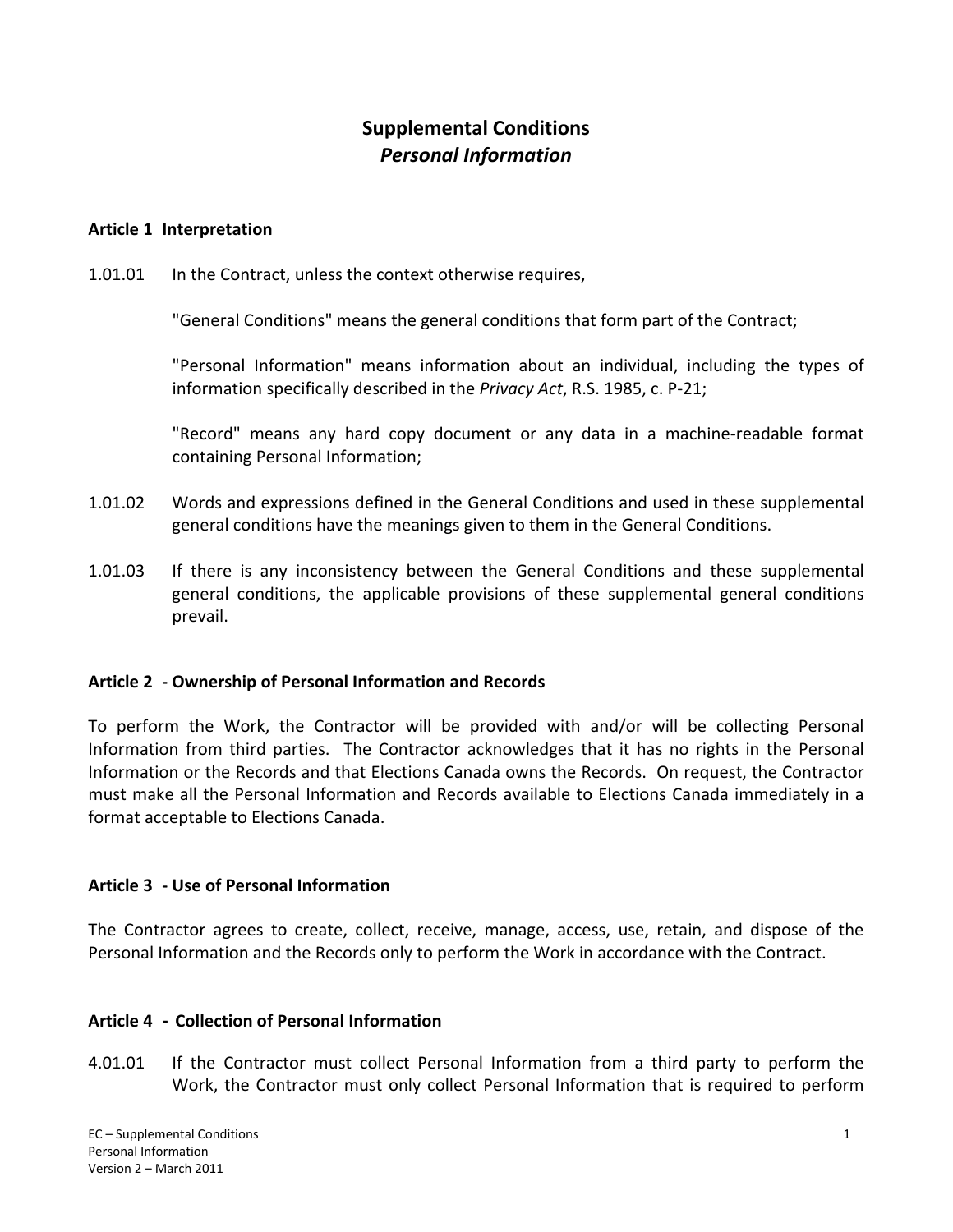# **Supplemental Conditions** *Personal Information*

### **Article 1 Interpretation**

1.01.01 In the Contract, unless the context otherwise requires,

"General Conditions" means the general conditions that form part of the Contract;

"Personal Information" means information about an individual, including the types of information specifically described in the *Privacy Act*, R.S. 1985, c. P‐21;

"Record" means any hard copy document or any data in a machine‐readable format containing Personal Information;

- 1.01.02 Words and expressions defined in the General Conditions and used in these supplemental general conditions have the meanings given to them in the General Conditions.
- 1.01.03 If there is any inconsistency between the General Conditions and these supplemental general conditions, the applicable provisions of these supplemental general conditions prevail.

#### **Article 2 ‐ Ownership of Personal Information and Records**

To perform the Work, the Contractor will be provided with and/or will be collecting Personal Information from third parties. The Contractor acknowledges that it has no rights in the Personal Information or the Records and that Elections Canada owns the Records. On request, the Contractor must make all the Personal Information and Records available to Elections Canada immediately in a format acceptable to Elections Canada.

#### **Article 3 ‐ Use of Personal Information**

The Contractor agrees to create, collect, receive, manage, access, use, retain, and dispose of the Personal Information and the Records only to perform the Work in accordance with the Contract.

### **Article 4 - Collection of Personal Information**

4.01.01 If the Contractor must collect Personal Information from a third party to perform the Work, the Contractor must only collect Personal Information that is required to perform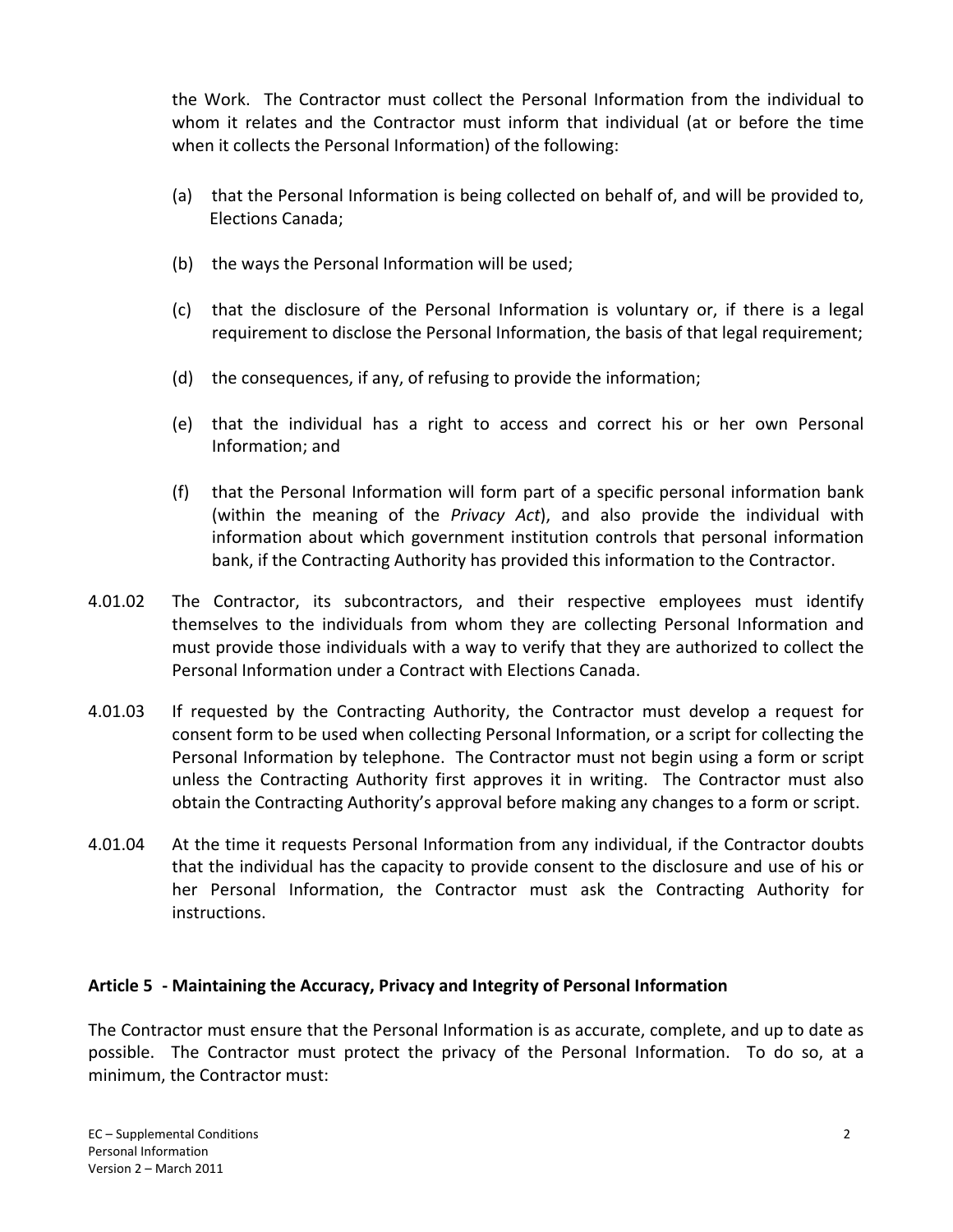the Work. The Contractor must collect the Personal Information from the individual to whom it relates and the Contractor must inform that individual (at or before the time when it collects the Personal Information) of the following:

- (a) that the Personal Information is being collected on behalf of, and will be provided to, Elections Canada;
- (b) the ways the Personal Information will be used;
- (c) that the disclosure of the Personal Information is voluntary or, if there is a legal requirement to disclose the Personal Information, the basis of that legal requirement;
- (d) the consequences, if any, of refusing to provide the information;
- (e) that the individual has a right to access and correct his or her own Personal Information; and
- (f) that the Personal Information will form part of a specific personal information bank (within the meaning of the *Privacy Act*), and also provide the individual with information about which government institution controls that personal information bank, if the Contracting Authority has provided this information to the Contractor.
- 4.01.02 The Contractor, its subcontractors, and their respective employees must identify themselves to the individuals from whom they are collecting Personal Information and must provide those individuals with a way to verify that they are authorized to collect the Personal Information under a Contract with Elections Canada.
- 4.01.03 If requested by the Contracting Authority, the Contractor must develop a request for consent form to be used when collecting Personal Information, or a script for collecting the Personal Information by telephone. The Contractor must not begin using a form or script unless the Contracting Authority first approves it in writing. The Contractor must also obtain the Contracting Authority's approval before making any changes to a form or script.
- 4.01.04 At the time it requests Personal Information from any individual, if the Contractor doubts that the individual has the capacity to provide consent to the disclosure and use of his or her Personal Information, the Contractor must ask the Contracting Authority for instructions.

# **Article 5 ‐ Maintaining the Accuracy, Privacy and Integrity of Personal Information**

The Contractor must ensure that the Personal Information is as accurate, complete, and up to date as possible. The Contractor must protect the privacy of the Personal Information. To do so, at a minimum, the Contractor must: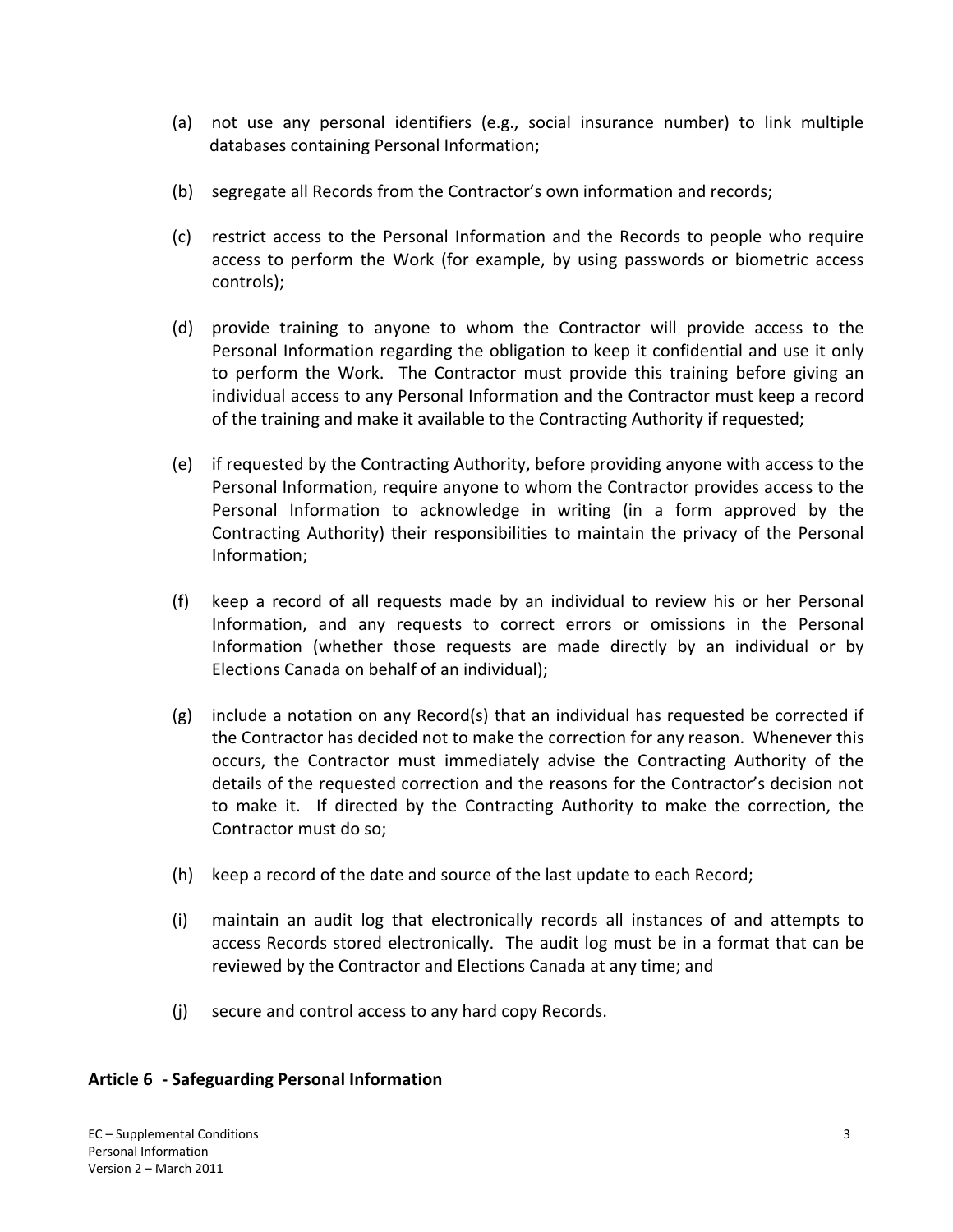- (a) not use any personal identifiers (e.g., social insurance number) to link multiple databases containing Personal Information;
- (b) segregate all Records from the Contractor's own information and records;
- (c) restrict access to the Personal Information and the Records to people who require access to perform the Work (for example, by using passwords or biometric access controls);
- (d) provide training to anyone to whom the Contractor will provide access to the Personal Information regarding the obligation to keep it confidential and use it only to perform the Work. The Contractor must provide this training before giving an individual access to any Personal Information and the Contractor must keep a record of the training and make it available to the Contracting Authority if requested;
- (e) if requested by the Contracting Authority, before providing anyone with access to the Personal Information, require anyone to whom the Contractor provides access to the Personal Information to acknowledge in writing (in a form approved by the Contracting Authority) their responsibilities to maintain the privacy of the Personal Information;
- (f) keep a record of all requests made by an individual to review his or her Personal Information, and any requests to correct errors or omissions in the Personal Information (whether those requests are made directly by an individual or by Elections Canada on behalf of an individual);
- (g) include a notation on any Record(s) that an individual has requested be corrected if the Contractor has decided not to make the correction for any reason. Whenever this occurs, the Contractor must immediately advise the Contracting Authority of the details of the requested correction and the reasons for the Contractor's decision not to make it. If directed by the Contracting Authority to make the correction, the Contractor must do so;
- (h) keep a record of the date and source of the last update to each Record;
- (i) maintain an audit log that electronically records all instances of and attempts to access Records stored electronically. The audit log must be in a format that can be reviewed by the Contractor and Elections Canada at any time; and
- (j) secure and control access to any hard copy Records.

### **Article 6 ‐ Safeguarding Personal Information**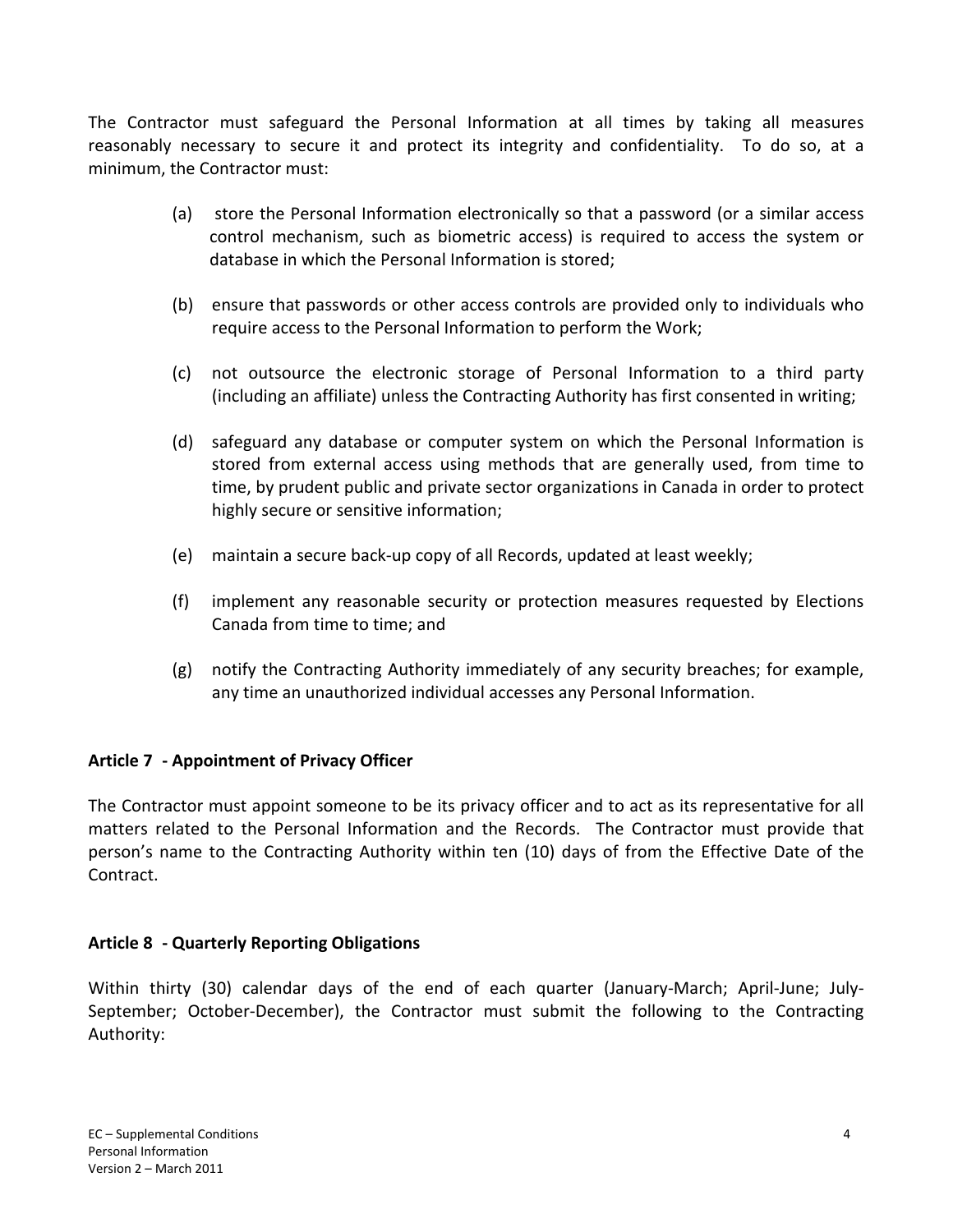The Contractor must safeguard the Personal Information at all times by taking all measures reasonably necessary to secure it and protect its integrity and confidentiality. To do so, at a minimum, the Contractor must:

- (a) store the Personal Information electronically so that a password (or a similar access control mechanism, such as biometric access) is required to access the system or database in which the Personal Information is stored;
- (b) ensure that passwords or other access controls are provided only to individuals who require access to the Personal Information to perform the Work;
- (c) not outsource the electronic storage of Personal Information to a third party (including an affiliate) unless the Contracting Authority has first consented in writing;
- (d) safeguard any database or computer system on which the Personal Information is stored from external access using methods that are generally used, from time to time, by prudent public and private sector organizations in Canada in order to protect highly secure or sensitive information;
- (e) maintain a secure back‐up copy of all Records, updated at least weekly;
- (f) implement any reasonable security or protection measures requested by Elections Canada from time to time; and
- (g) notify the Contracting Authority immediately of any security breaches; for example, any time an unauthorized individual accesses any Personal Information.

# **Article 7 ‐ Appointment of Privacy Officer**

The Contractor must appoint someone to be its privacy officer and to act as its representative for all matters related to the Personal Information and the Records. The Contractor must provide that person's name to the Contracting Authority within ten (10) days of from the Effective Date of the Contract.

# **Article 8 ‐ Quarterly Reporting Obligations**

Within thirty (30) calendar days of the end of each quarter (January-March; April-June; July-September; October-December), the Contractor must submit the following to the Contracting Authority: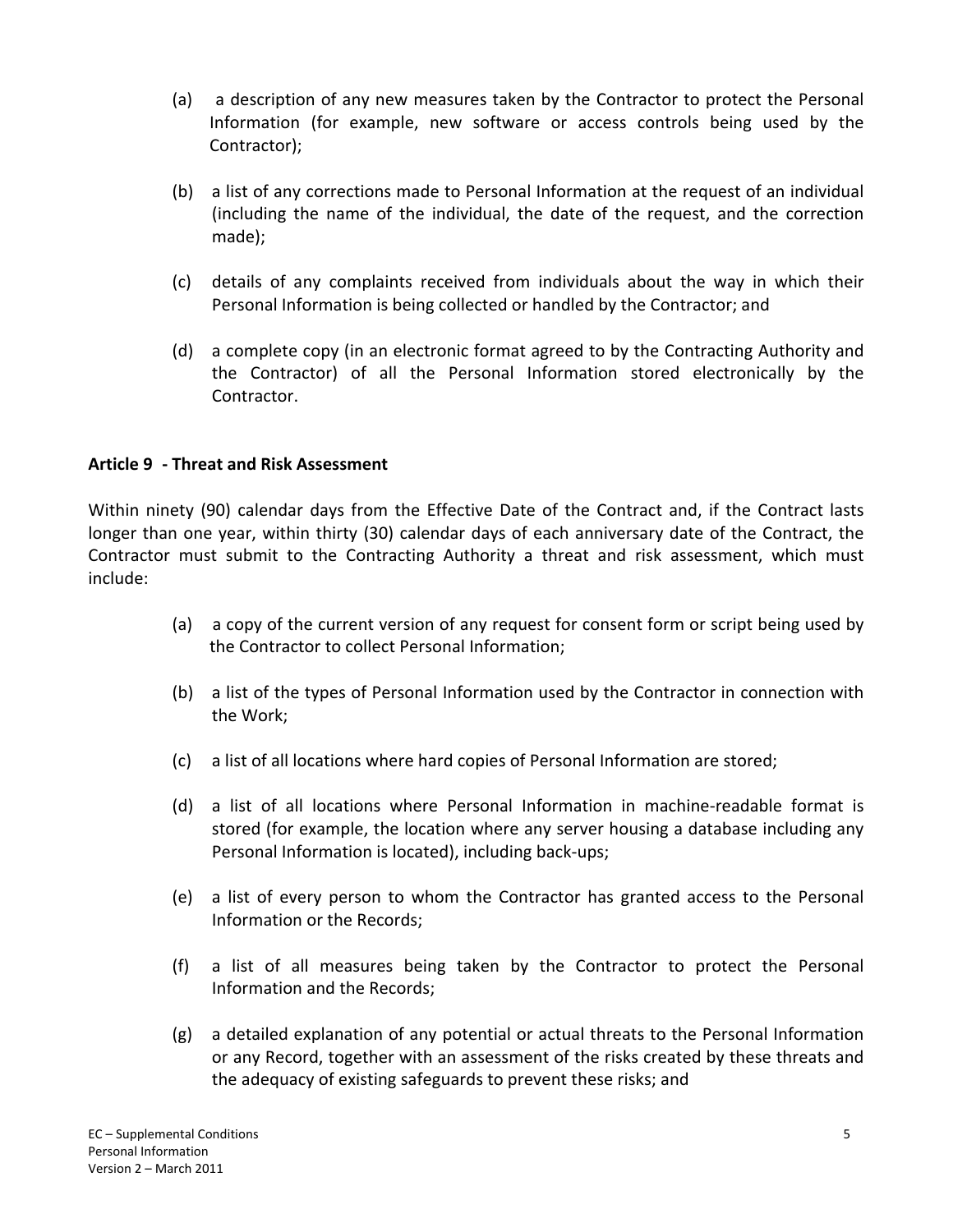- (a) a description of any new measures taken by the Contractor to protect the Personal Information (for example, new software or access controls being used by the Contractor);
- (b) a list of any corrections made to Personal Information at the request of an individual (including the name of the individual, the date of the request, and the correction made);
- (c) details of any complaints received from individuals about the way in which their Personal Information is being collected or handled by the Contractor; and
- (d) a complete copy (in an electronic format agreed to by the Contracting Authority and the Contractor) of all the Personal Information stored electronically by the Contractor.

### **Article 9 ‐ Threat and Risk Assessment**

Within ninety (90) calendar days from the Effective Date of the Contract and, if the Contract lasts longer than one year, within thirty (30) calendar days of each anniversary date of the Contract, the Contractor must submit to the Contracting Authority a threat and risk assessment, which must include:

- (a) a copy of the current version of any request for consent form or script being used by the Contractor to collect Personal Information;
- (b) a list of the types of Personal Information used by the Contractor in connection with the Work;
- (c) a list of all locations where hard copies of Personal Information are stored;
- (d) a list of all locations where Personal Information in machine‐readable format is stored (for example, the location where any server housing a database including any Personal Information is located), including back‐ups;
- (e) a list of every person to whom the Contractor has granted access to the Personal Information or the Records;
- (f) a list of all measures being taken by the Contractor to protect the Personal Information and the Records;
- (g) a detailed explanation of any potential or actual threats to the Personal Information or any Record, together with an assessment of the risks created by these threats and the adequacy of existing safeguards to prevent these risks; and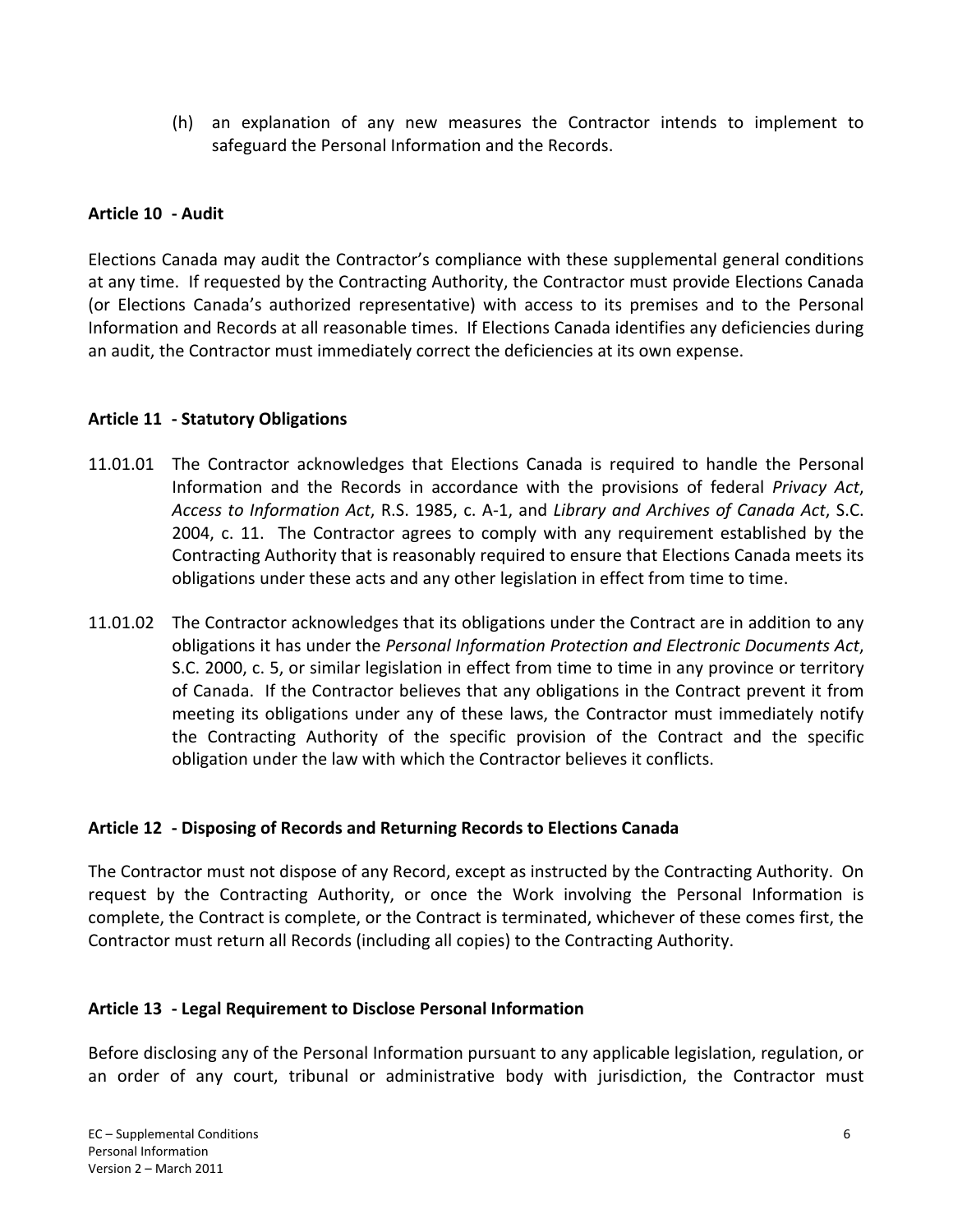(h) an explanation of any new measures the Contractor intends to implement to safeguard the Personal Information and the Records.

# **Article 10 ‐ Audit**

Elections Canada may audit the Contractor's compliance with these supplemental general conditions at any time. If requested by the Contracting Authority, the Contractor must provide Elections Canada (or Elections Canada's authorized representative) with access to its premises and to the Personal Information and Records at all reasonable times. If Elections Canada identifies any deficiencies during an audit, the Contractor must immediately correct the deficiencies at its own expense.

# **Article 11 ‐ Statutory Obligations**

- 11.01.01 The Contractor acknowledges that Elections Canada is required to handle the Personal Information and the Records in accordance with the provisions of federal *Privacy Act*, *Access to Information Act*, R.S. 1985, c. A‐1, and *Library and Archives of Canada Act*, S.C. 2004, c. 11. The Contractor agrees to comply with any requirement established by the Contracting Authority that is reasonably required to ensure that Elections Canada meets its obligations under these acts and any other legislation in effect from time to time.
- 11.01.02 The Contractor acknowledges that its obligations under the Contract are in addition to any obligations it has under the *Personal Information Protection and Electronic Documents Act*, S.C. 2000, c. 5, or similar legislation in effect from time to time in any province or territory of Canada. If the Contractor believes that any obligations in the Contract prevent it from meeting its obligations under any of these laws, the Contractor must immediately notify the Contracting Authority of the specific provision of the Contract and the specific obligation under the law with which the Contractor believes it conflicts.

# **Article 12 ‐ Disposing of Records and Returning Records to Elections Canada**

The Contractor must not dispose of any Record, except as instructed by the Contracting Authority. On request by the Contracting Authority, or once the Work involving the Personal Information is complete, the Contract is complete, or the Contract is terminated, whichever of these comes first, the Contractor must return all Records (including all copies) to the Contracting Authority.

# **Article 13 ‐ Legal Requirement to Disclose Personal Information**

Before disclosing any of the Personal Information pursuant to any applicable legislation, regulation, or an order of any court, tribunal or administrative body with jurisdiction, the Contractor must